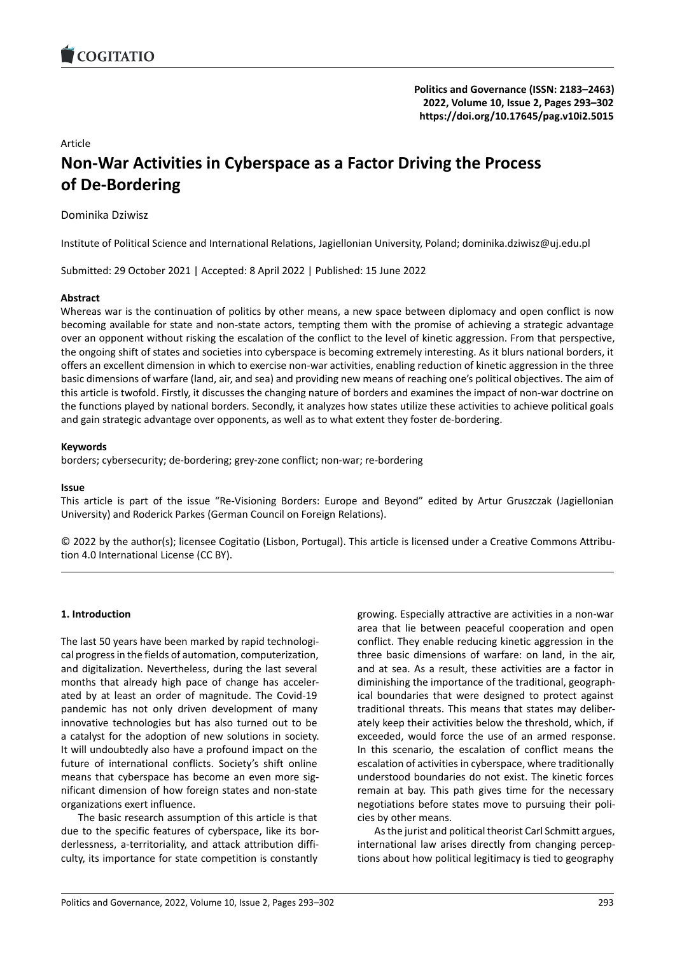### Article

# **Non‐War Activities in Cyberspace as a Factor Dr[iving the Process](https://doi.org/10.17645/pag.v10i2.5015) of De‐Bordering**

Dominika Dziwisz

Institute of Political Science and International Relations, Jagiellonian University, Poland; dominika.dziwisz@uj.edu.pl

Submitted: 29 October 2021 | Accepted: 8 April 2022 | Published: 15 June 2022

### **Abstract**

Whereas war is the continuation of politics by other means, a new space between diplomacy and open conflict is now becoming available for state and non‐state actors, tempting them with the promise of achieving a strategic advantage over an opponent without risking the escalation of the conflict to the level of kinetic aggression. From that perspective, the ongoing shift of states and societies into cyberspace is becoming extremely interesting. As it blurs national borders, it offers an excellent dimension in which to exercise non‐war activities, enabling reduction of kinetic aggression in the three basic dimensions of warfare (land, air, and sea) and providing new means of reaching one's political objectives. The aim of this article is twofold. Firstly, it discusses the changing nature of borders and examines the impact of non‐war doctrine on the functions played by national borders. Secondly, it analyzes how states utilize these activities to achieve political goals and gain strategic advantage over opponents, as well as to what extent they foster de‐bordering.

### **Keywords**

borders; cybersecurity; de‐bordering; grey‐zone conflict; non‐war; re‐bordering

### **Issue**

This article is part of the issue "Re‐Visioning Borders: Europe and Beyond" edited by Artur Gruszczak (Jagiellonian University) and Roderick Parkes (German Council on Foreign Relations).

© 2022 by the author(s); licensee Cogitatio (Lisbon, Portugal). This article is licensed under a Creative Commons Attribu‐ tion 4.0 International License (CC BY).

### **1. Introduction**

The last 50 years have been marked by rapid technologi‐ cal progress in the fields of automation, computerization, and digitalization. Nevertheless, during the last several months that already high pace of change has acceler‐ ated by at least an order of magnitude. The Covid‐19 pandemic has not only driven development of many innovative technologies but has also turned out to be a catalyst for the adoption of new solutions in society. It will undoubtedly also have a profound impact on the future of international conflicts. Society's shift online means that cyberspace has become an even more significant dimension of how foreign states and non‐state organizations exert influence.

The basic research assumption of this article is that due to the specific features of cyberspace, like its bor‐ derlessness, a‐territoriality, and attack attribution diffi‐ culty, its importance for state competition is constantly

growing. Especially attractive are activities in a non‐war area that lie between peaceful cooperation and open conflict. They enable reducing kinetic aggression in the three basic dimensions of warfare: on land, in the air, and at sea. As a result, these activities are a factor in diminishing the importance of the traditional, geograph‐ ical boundaries that were designed to protect against traditional threats. This means that states may deliber‐ ately keep their activities below the threshold, which, if exceeded, would force the use of an armed response. In this scenario, the escalation of conflict means the escalation of activities in cyberspace, where traditionally understood boundaries do not exist. The kinetic forces remain at bay. This path gives time for the necessary negotiations before states move to pursuing their poli‐ cies by other means.

As the jurist and political theorist Carl Schmitt argues, international law arises directly from changing percep‐ tions about how political legitimacy is tied to geography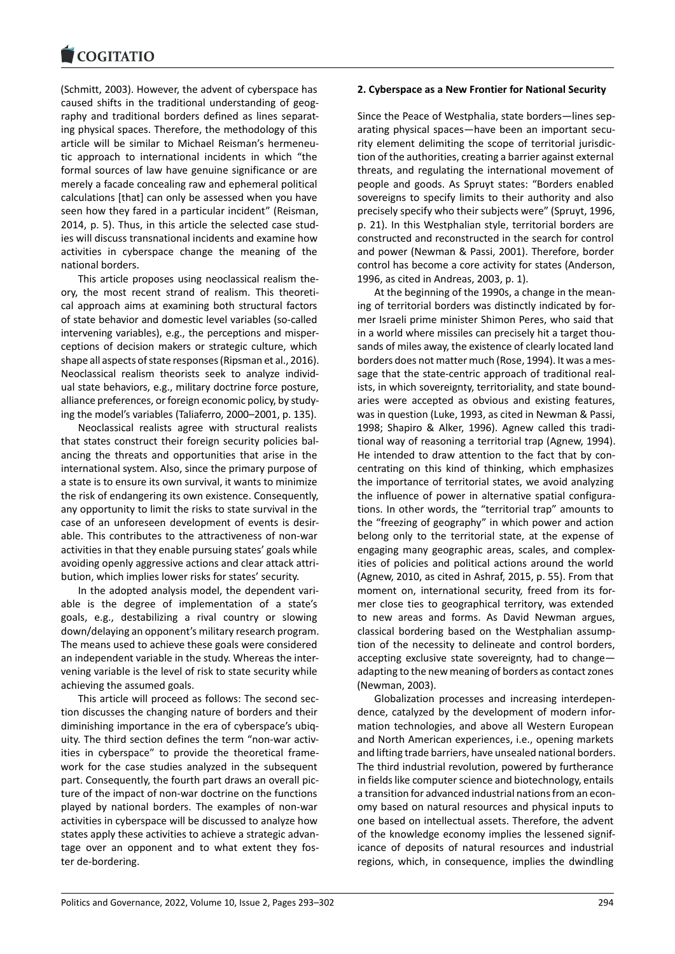(Schmitt, 2003). However, the advent of cyberspace has [caused shifts in the](https://www.cogitatiopress.com) traditional understanding of geog‐ raphy and traditional borders defined as lines separat‐ ing physical spaces. Therefore, the methodology of this article will be similar to Michael Reisman's hermeneu‐ tic approach to international incidents in which "the formal sources of law have genuine significance or are merely a facade concealing raw and ephemeral political calculations [that] can only be assessed when you have seen how they fared in a particular incident" (Reisman, 2014, p. 5). Thus, in this article the selected case stud‐ ies will discuss transnational incidents and examine how activities in cyberspace change the meaning of the national borders.

This article proposes using neoclassical realism the‐ ory, the most recent strand of realism. This theoreti‐ cal approach aims at examining both structural factors of state behavior and domestic level variables (so‐called intervening variables), e.g., the perceptions and misper‐ ceptions of decision makers or strategic culture, which shape all aspects of state responses (Ripsman et al., 2016). Neoclassical realism theorists seek to analyze individ‐ ual state behaviors, e.g., military doctrine force posture, alliance preferences, or foreign economic policy, by study‐ ing the model's variables (Taliaferro, 2000–2001, p. 135).

Neoclassical realists agree with structural realists that states construct their foreign security policies bal‐ ancing the threats and opportunities that arise in the international system. Also, since the primary purpose of a state is to ensure its own survival, it wants to minimize the risk of endangering its own existence. Consequently, any opportunity to limit the risks to state survival in the case of an unforeseen development of events is desir‐ able. This contributes to the attractiveness of non‐war activities in that they enable pursuing states' goals while avoiding openly aggressive actions and clear attack attri‐ bution, which implies lower risks for states' security.

In the adopted analysis model, the dependent vari‐ able is the degree of implementation of a state's goals, e.g., destabilizing a rival country or slowing down/delaying an opponent's military research program. The means used to achieve these goals were considered an independent variable in the study. Whereas the inter‐ vening variable is the level of risk to state security while achieving the assumed goals.

This article will proceed as follows: The second sec‐ tion discusses the changing nature of borders and their diminishing importance in the era of cyberspace's ubiq‐ uity. The third section defines the term "non‐war activ‐ ities in cyberspace" to provide the theoretical frame‐ work for the case studies analyzed in the subsequent part. Consequently, the fourth part draws an overall pic‐ ture of the impact of non‐war doctrine on the functions played by national borders. The examples of non‐war activities in cyberspace will be discussed to analyze how states apply these activities to achieve a strategic advan‐ tage over an opponent and to what extent they foster de‐bordering.

### **2. Cyberspace as a New Frontier for National Security**

Since the Peace of Westphalia, state borders—lines sep‐ arating physical spaces—have been an important secu‐ rity element delimiting the scope of territorial jurisdic‐ tion of the authorities, creating a barrier against external threats, and regulating the international movement of people and goods. As Spruyt states: "Borders enabled sovereigns to specify limits to their authority and also precisely specify who their subjects were" (Spruyt, 1996, p. 21). In this Westphalian style, territorial borders are constructed and reconstructed in the search for control and power (Newman & Passi, 2001). Therefore, border control has become a core activity for states (Anderson, 1996, as cited in Andreas, 2003, p. 1).

At the beginning of the 1990s, a change in the mean‐ ing of territorial borders was distinctly indicated by for‐ mer Israeli prime minister Shimon Peres, who said that in a world where missiles can precisely hit a target thousands of miles away, the existence of clearly located land borders does not matter much (Rose, 1994). It was a mes‐ sage that the state‐centric approach of traditional real‐ ists, in which sovereignty, territoriality, and state bound‐ aries were accepted as obvious and existing features, was in question (Luke, 1993, as cited in Newman & Passi, 1998; Shapiro & Alker, 1996). Agnew called this tradi‐ tional way of reasoning a territorial trap (Agnew, 1994). He intended to draw attention to the fact that by concentrating on this kind of thinking, which emphasizes the importance of territorial states, we avoid analyzing the influence of power in alternative spatial configura‐ tions. In other words, the "territorial trap" amounts to the "freezing of geography" in which power and action belong only to the territorial state, at the expense of engaging many geographic areas, scales, and complex‐ ities of policies and political actions around the world (Agnew, 2010, as cited in Ashraf, 2015, p. 55). From that moment on, international security, freed from its for‐ mer close ties to geographical territory, was extended to new areas and forms. As David Newman argues, classical bordering based on the Westphalian assump‐ tion of the necessity to delineate and control borders, accepting exclusive state sovereignty, had to change adapting to the new meaning of borders as contact zones (Newman, 2003).

Globalization processes and increasing interdepen‐ dence, catalyzed by the development of modern infor‐ mation technologies, and above all Western European and North American experiences, i.e., opening markets and lifting trade barriers, have unsealed national borders. The third industrial revolution, powered by furtherance in fields like computer science and biotechnology, entails a transition for advanced industrial nations from an econ‐ omy based on natural resources and physical inputs to one based on intellectual assets. Therefore, the advent of the knowledge economy implies the lessened signif‐ icance of deposits of natural resources and industrial regions, which, in consequence, implies the dwindling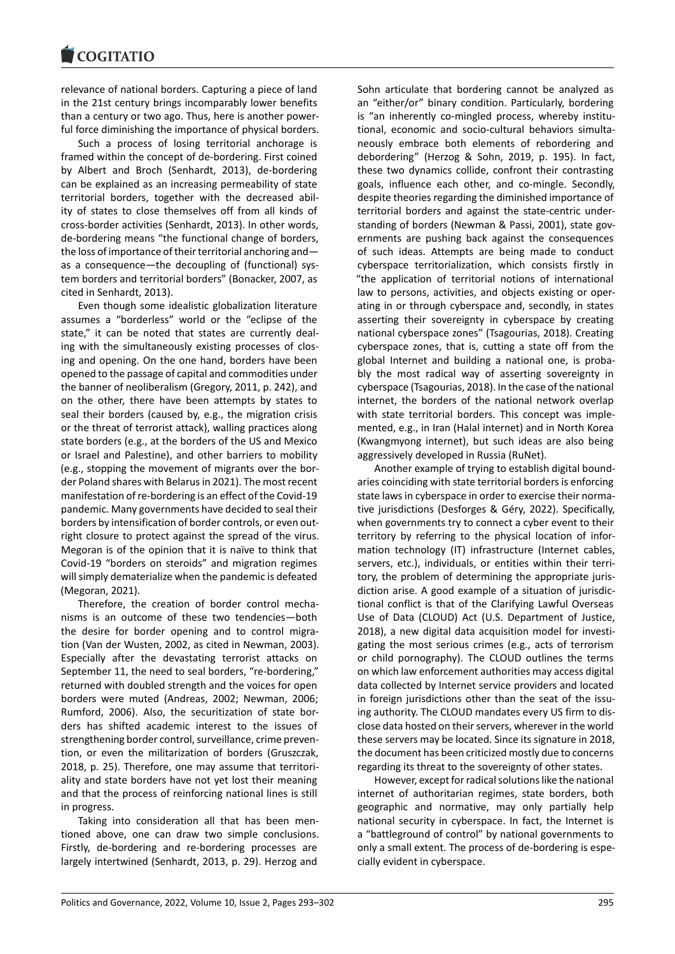#### COQUIATIO

relevance of national borders. Capturing a piece of land [in the 21st century b](https://www.cogitatiopress.com)rings incomparably lower benefits than a century or two ago. Thus, here is another power‐ ful force diminishing the importance of physical borders.

Such a process of losing territorial anchorage is framed within the concept of de‐bordering. First coined by Albert and Broch (Senhardt, 2013), de‐bordering can be explained as an increasing permeability of state territorial borders, together with the decreased abil‐ ity of states to close themselves off from all kinds of cross‐border activities (Senhardt, 2013). In other words, de‐bordering means "the functional change of borders, the loss of importance of their territorial anchoring and as a consequence—the decoupling of (functional) sys‐ tem borders and territorial borders" (Bonacker, 2007, as cited in Senhardt, 2013).

Even though some idealistic globalization literature assumes a "borderless" world or the "eclipse of the state," it can be noted that states are currently dealing with the simultaneously existing processes of clos‐ ing and opening. On the one hand, borders have been opened to the passage of capital and commodities under the banner of neoliberalism (Gregory, 2011, p. 242), and on the other, there have been attempts by states to seal their borders (caused by, e.g., the migration crisis or the threat of terrorist attack), walling practices along state borders (e.g., at the borders of the US and Mexico or Israel and Palestine), and other barriers to mobility (e.g., stopping the movement of migrants over the bor‐ der Poland shares with Belarus in 2021). The most recent manifestation of re‐bordering is an effect of the Covid‐19 pandemic. Many governments have decided to seal their borders by intensification of border controls, or even out‐ right closure to protect against the spread of the virus. Megoran is of the opinion that it is naïve to think that Covid‐19 "borders on steroids" and migration regimes will simply dematerialize when the pandemic is defeated (Megoran, 2021).

Therefore, the creation of border control mecha‐ nisms is an outcome of these two tendencies—both the desire for border opening and to control migration (Van der Wusten, 2002, as cited in Newman, 2003). Especially after the devastating terrorist attacks on September 11, the need to seal borders, "re-bordering," returned with doubled strength and the voices for open borders were muted (Andreas, 2002; Newman, 2006; Rumford, 2006). Also, the securitization of state bor‐ ders has shifted academic interest to the issues of strengthening border control, surveillance, crime preven‐ tion, or even the militarization of borders (Gruszczak, 2018, p. 25). Therefore, one may assume that territori‐ ality and state borders have not yet lost their meaning and that the process of reinforcing national lines is still in progress.

Taking into consideration all that has been men‐ tioned above, one can draw two simple conclusions. Firstly, de-bordering and re-bordering processes are largely intertwined (Senhardt, 2013, p. 29). Herzog and

Sohn articulate that bordering cannot be analyzed as an "either/or" binary condition. Particularly, bordering is "an inherently co-mingled process, whereby institutional, economic and socio‐cultural behaviors simulta‐ neously embrace both elements of rebordering and debordering" (Herzog & Sohn, 2019, p. 195). In fact, these two dynamics collide, confront their contrasting goals, influence each other, and co-mingle. Secondly, despite theories regarding the diminished importance of territorial borders and against the state‐centric under‐ standing of borders (Newman & Passi, 2001), state gov‐ ernments are pushing back against the consequences of such ideas. Attempts are being made to conduct cyberspace territorialization, which consists firstly in "the application of territorial notions of international law to persons, activities, and objects existing or oper‐ ating in or through cyberspace and, secondly, in states asserting their sovereignty in cyberspace by creating national cyberspace zones" (Tsagourias, 2018). Creating cyberspace zones, that is, cutting a state off from the global Internet and building a national one, is proba‐ bly the most radical way of asserting sovereignty in cyberspace (Tsagourias, 2018). In the case of the national internet, the borders of the national network overlap with state territorial borders. This concept was implemented, e.g., in Iran (Halal internet) and in North Korea (Kwangmyong internet), but such ideas are also being aggressively developed in Russia (RuNet).

Another example of trying to establish digital bound‐ aries coinciding with state territorial borders is enforcing state laws in cyberspace in order to exercise their norma‐ tive jurisdictions (Desforges & Géry, 2022). Specifically, when governments try to connect a cyber event to their territory by referring to the physical location of infor‐ mation technology (IT) infrastructure (Internet cables, servers, etc.), individuals, or entities within their territory, the problem of determining the appropriate juris‐ diction arise. A good example of a situation of jurisdic‐ tional conflict is that of the Clarifying Lawful Overseas Use of Data (CLOUD) Act (U.S. Department of Justice, 2018), a new digital data acquisition model for investi‐ gating the most serious crimes (e.g., acts of terrorism or child pornography). The CLOUD outlines the terms on which law enforcement authorities may access digital data collected by Internet service providers and located in foreign jurisdictions other than the seat of the issuing authority. The CLOUD mandates every US firm to dis‐ close data hosted on their servers, wherever in the world these servers may be located. Since its signature in 2018, the document has been criticized mostly due to concerns regarding its threat to the sovereignty of other states.

However, except for radical solutions like the national internet of authoritarian regimes, state borders, both geographic and normative, may only partially help national security in cyberspace. In fact, the Internet is a "battleground of control" by national governments to only a small extent. The process of de‐bordering is espe‐ cially evident in cyberspace.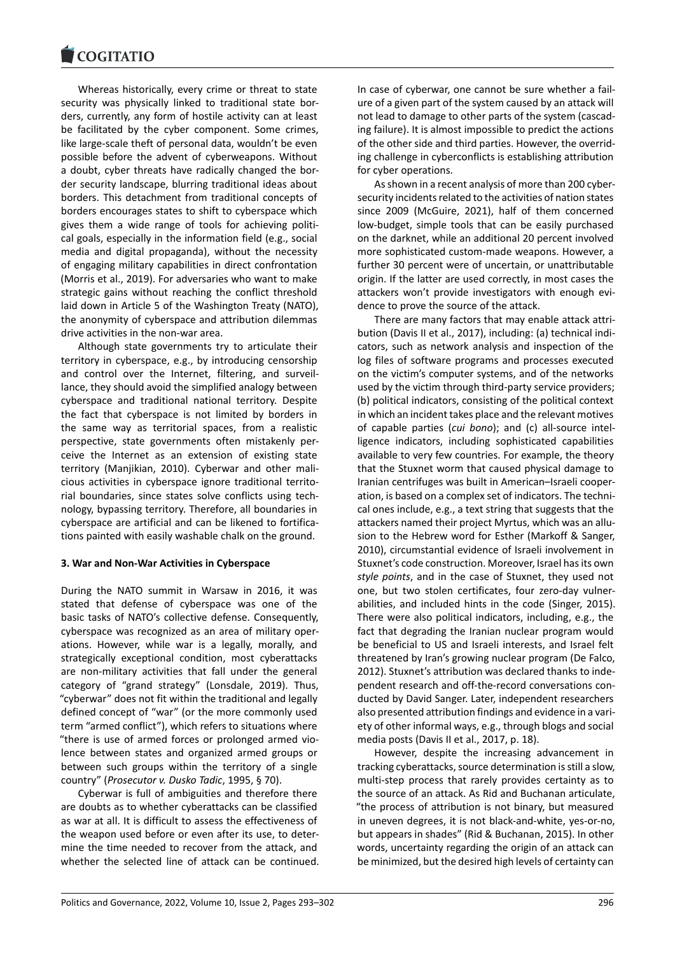Whereas historically, every crime or threat to state [security was physica](https://www.cogitatiopress.com)lly linked to traditional state bor‐ ders, currently, any form of hostile activity can at least be facilitated by the cyber component. Some crimes, like large‐scale theft of personal data, wouldn't be even possible before the advent of cyberweapons. Without a doubt, cyber threats have radically changed the bor‐ der security landscape, blurring traditional ideas about borders. This detachment from traditional concepts of borders encourages states to shift to cyberspace which gives them a wide range of tools for achieving politi‐ cal goals, especially in the information field (e.g., social media and digital propaganda), without the necessity of engaging military capabilities in direct confrontation (Morris et al., 2019). For adversaries who want to make strategic gains without reaching the conflict threshold laid down in Article 5 of the Washington Treaty (NATO), the anonymity of cyberspace and attribution dilemmas drive activities in the non‐war area.

Although state governments try to articulate their territory in cyberspace, e.g., by introducing censorship and control over the Internet, filtering, and surveillance, they should avoid the simplified analogy between cyberspace and traditional national territory. Despite the fact that cyberspace is not limited by borders in the same way as territorial spaces, from a realistic perspective, state governments often mistakenly per‐ ceive the Internet as an extension of existing state territory (Manjikian, 2010). Cyberwar and other mali‐ cious activities in cyberspace ignore traditional territo‐ rial boundaries, since states solve conflicts using tech‐ nology, bypassing territory. Therefore, all boundaries in cyberspace are artificial and can be likened to fortifica‐ tions painted with easily washable chalk on the ground.

### **3. War and Non‐War Activities in Cyberspace**

During the NATO summit in Warsaw in 2016, it was stated that defense of cyberspace was one of the basic tasks of NATO's collective defense. Consequently, cyberspace was recognized as an area of military oper‐ ations. However, while war is a legally, morally, and strategically exceptional condition, most cyberattacks are non-military activities that fall under the general category of "grand strategy" (Lonsdale, 2019). Thus, "cyberwar" does not fit within the traditional and legally defined concept of "war" (or the more commonly used term "armed conflict"), which refers to situations where "there is use of armed forces or prolonged armed vio‐ lence between states and organized armed groups or between such groups within the territory of a single country" (*Prosecutor v. Dusko Tadic*, 1995, § 70).

Cyberwar is full of ambiguities and therefore there are doubts as to whether cyberattacks can be classified as war at all. It is difficult to assess the effectiveness of the weapon used before or even after its use, to deter‐ mine the time needed to recover from the attack, and whether the selected line of attack can be continued. In case of cyberwar, one cannot be sure whether a fail‐ ure of a given part of the system caused by an attack will not lead to damage to other parts of the system (cascad‐ ing failure). It is almost impossible to predict the actions of the other side and third parties. However, the overrid‐ ing challenge in cyberconflicts is establishing attribution for cyber operations.

As shown in a recent analysis of more than 200 cyber‐ security incidents related to the activities of nation states since 2009 (McGuire, 2021), half of them concerned low-budget, simple tools that can be easily purchased on the darknet, while an additional 20 percent involved more sophisticated custom‐made weapons. However, a further 30 percent were of uncertain, or unattributable origin. If the latter are used correctly, in most cases the attackers won't provide investigators with enough evi‐ dence to prove the source of the attack.

There are many factors that may enable attack attri‐ bution (Davis II et al., 2017), including: (a) technical indi‐ cators, such as network analysis and inspection of the log files of software programs and processes executed on the victim's computer systems, and of the networks used by the victim through third‐party service providers; (b) political indicators, consisting of the political context in which an incident takes place and the relevant motives of capable parties (*cui bono*); and (c) all‐source intel‐ ligence indicators, including sophisticated capabilities available to very few countries. For example, the theory that the Stuxnet worm that caused physical damage to Iranian centrifuges was built in American–Israeli cooper‐ ation, is based on a complex set of indicators. The techni‐ cal ones include, e.g., a text string that suggests that the attackers named their project Myrtus, which was an allu‐ sion to the Hebrew word for Esther (Markoff & Sanger, 2010), circumstantial evidence of Israeli involvement in Stuxnet's code construction. Moreover, Israel has its own *style points*, and in the case of Stuxnet, they used not one, but two stolen certificates, four zero‐day vulner‐ abilities, and included hints in the code (Singer, 2015). There were also political indicators, including, e.g., the fact that degrading the Iranian nuclear program would be beneficial to US and Israeli interests, and Israel felt threatened by Iran's growing nuclear program (De Falco, 2012). Stuxnet's attribution was declared thanks to inde‐ pendent research and off-the-record conversations conducted by David Sanger. Later, independent researchers also presented attribution findings and evidence in a vari‐ ety of other informal ways, e.g., through blogs and social media posts (Davis II et al., 2017, p. 18).

However, despite the increasing advancement in tracking cyberattacks, source determination is still a slow, multi‐step process that rarely provides certainty as to the source of an attack. As Rid and Buchanan articulate, "the process of attribution is not binary, but measured in uneven degrees, it is not black‐and‐white, yes‐or‐no, but appears in shades" (Rid & Buchanan, 2015). In other words, uncertainty regarding the origin of an attack can be minimized, but the desired high levels of certainty can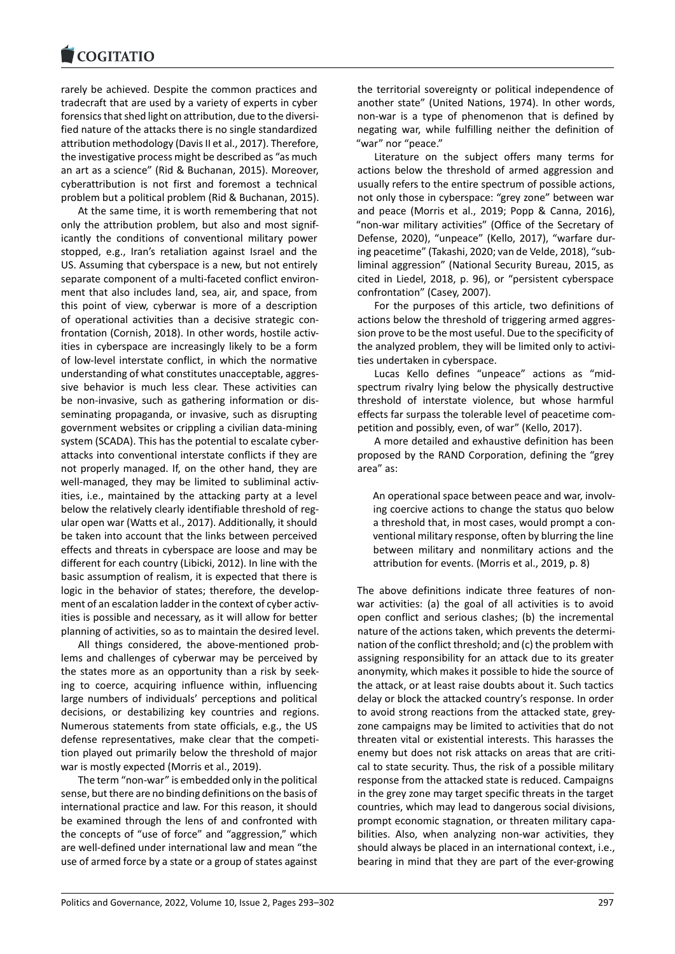rarely be achieved. Despite the common practices and [tradecraft that are u](https://www.cogitatiopress.com)sed by a variety of experts in cyber forensics that shed light on attribution, due to the diversi‐ fied nature of the attacks there is no single standardized attribution methodology (Davis II et al., 2017). Therefore, the investigative process might be described as "as much an art as a science" (Rid & Buchanan, 2015). Moreover, cyberattribution is not first and foremost a technical problem but a political problem (Rid & Buchanan, 2015).

At the same time, it is worth remembering that not only the attribution problem, but also and most signif‐ icantly the conditions of conventional military power stopped, e.g., Iran's retaliation against Israel and the US. Assuming that cyberspace is a new, but not entirely separate component of a multi-faceted conflict environment that also includes land, sea, air, and space, from this point of view, cyberwar is more of a description of operational activities than a decisive strategic con‐ frontation (Cornish, 2018). In other words, hostile activities in cyberspace are increasingly likely to be a form of low‐level interstate conflict, in which the normative understanding of what constitutes unacceptable, aggres‐ sive behavior is much less clear. These activities can be non-invasive, such as gathering information or disseminating propaganda, or invasive, such as disrupting government websites or crippling a civilian data‐mining system (SCADA). This has the potential to escalate cyber‐ attacks into conventional interstate conflicts if they are not properly managed. If, on the other hand, they are well-managed, they may be limited to subliminal activities, i.e., maintained by the attacking party at a level below the relatively clearly identifiable threshold of reg‐ ular open war (Watts et al., 2017). Additionally, it should be taken into account that the links between perceived effects and threats in cyberspace are loose and may be different for each country (Libicki, 2012). In line with the basic assumption of realism, it is expected that there is logic in the behavior of states; therefore, the development of an escalation ladder in the context of cyber activities is possible and necessary, as it will allow for better planning of activities, so as to maintain the desired level.

All things considered, the above‐mentioned prob‐ lems and challenges of cyberwar may be perceived by the states more as an opportunity than a risk by seek‐ ing to coerce, acquiring influence within, influencing large numbers of individuals' perceptions and political decisions, or destabilizing key countries and regions. Numerous statements from state officials, e.g., the US defense representatives, make clear that the competi‐ tion played out primarily below the threshold of major war is mostly expected (Morris et al., 2019).

The term "non‐war" is embedded only in the political sense, but there are no binding definitions on the basis of international practice and law. For this reason, it should be examined through the lens of and confronted with the concepts of "use of force" and "aggression," which are well‐defined under international law and mean "the use of armed force by a state or a group of states against the territorial sovereignty or political independence of another state" (United Nations, 1974). In other words, non‐war is a type of phenomenon that is defined by negating war, while fulfilling neither the definition of "war" nor "peace."

Literature on the subject offers many terms for actions below the threshold of armed aggression and usually refers to the entire spectrum of possible actions, not only those in cyberspace: "grey zone" between war and peace (Morris et al., 2019; Popp & Canna, 2016), "non‐war military activities" (Office of the Secretary of Defense, 2020), "unpeace" (Kello, 2017), "warfare dur‐ ing peacetime" (Takashi, 2020; van de Velde, 2018), "sub‐ liminal aggression" (National Security Bureau, 2015, as cited in Liedel, 2018, p. 96), or "persistent cyberspace confrontation" (Casey, 2007).

For the purposes of this article, two definitions of actions below the threshold of triggering armed aggres‐ sion prove to be the most useful. Due to the specificity of the analyzed problem, they will be limited only to activi‐ ties undertaken in cyberspace.

Lucas Kello defines "unpeace" actions as "mid‐ spectrum rivalry lying below the physically destructive threshold of interstate violence, but whose harmful effects far surpass the tolerable level of peacetime com‐ petition and possibly, even, of war" (Kello, 2017).

A more detailed and exhaustive definition has been proposed by the RAND Corporation, defining the "grey area" as:

An operational space between peace and war, involv‐ ing coercive actions to change the status quo below a threshold that, in most cases, would prompt a con‐ ventional military response, often by blurring the line between military and nonmilitary actions and the attribution for events. (Morris et al., 2019, p. 8)

The above definitions indicate three features of non‐ war activities: (a) the goal of all activities is to avoid open conflict and serious clashes; (b) the incremental nature of the actions taken, which prevents the determi‐ nation of the conflict threshold; and (c) the problem with assigning responsibility for an attack due to its greater anonymity, which makes it possible to hide the source of the attack, or at least raise doubts about it. Such tactics delay or block the attacked country's response. In order to avoid strong reactions from the attacked state, grey‐ zone campaigns may be limited to activities that do not threaten vital or existential interests. This harasses the enemy but does not risk attacks on areas that are critical to state security. Thus, the risk of a possible military response from the attacked state is reduced. Campaigns in the grey zone may target specific threats in the target countries, which may lead to dangerous social divisions, prompt economic stagnation, or threaten military capa‐ bilities. Also, when analyzing non‐war activities, they should always be placed in an international context, i.e., bearing in mind that they are part of the ever‐growing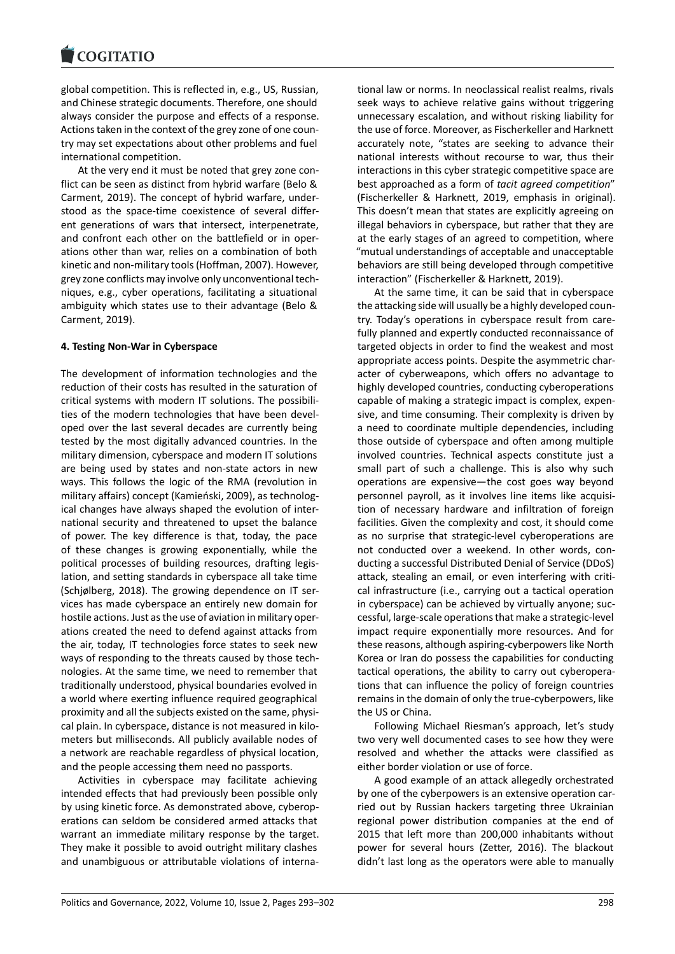global competition. This is reflected in, e.g., US, Russian, [and Chinese strategic](https://www.cogitatiopress.com) documents. Therefore, one should always consider the purpose and effects of a response. Actions taken in the context of the grey zone of one coun‐ try may set expectations about other problems and fuel international competition.

At the very end it must be noted that grey zone con‐ flict can be seen as distinct from hybrid warfare (Belo & Carment, 2019). The concept of hybrid warfare, under‐ stood as the space-time coexistence of several different generations of wars that intersect, interpenetrate, and confront each other on the battlefield or in oper‐ ations other than war, relies on a combination of both kinetic and non‐military tools (Hoffman, 2007). However, grey zone conflicts may involve only unconventional tech‐ niques, e.g., cyber operations, facilitating a situational ambiguity which states use to their advantage (Belo & Carment, 2019).

### **4. Testing Non‐War in Cyberspace**

The development of information technologies and the reduction of their costs has resulted in the saturation of critical systems with modern IT solutions. The possibili‐ ties of the modern technologies that have been devel‐ oped over the last several decades are currently being tested by the most digitally advanced countries. In the military dimension, cyberspace and modern IT solutions are being used by states and non‐state actors in new ways. This follows the logic of the RMA (revolution in military affairs) concept (Kamieński, 2009), as technolog‐ ical changes have always shaped the evolution of inter‐ national security and threatened to upset the balance of power. The key difference is that, today, the pace of these changes is growing exponentially, while the political processes of building resources, drafting legis‐ lation, and setting standards in cyberspace all take time (Schjølberg, 2018). The growing dependence on IT ser‐ vices has made cyberspace an entirely new domain for hostile actions. Just as the use of aviation in military oper‐ ations created the need to defend against attacks from the air, today, IT technologies force states to seek new ways of responding to the threats caused by those tech‐ nologies. At the same time, we need to remember that traditionally understood, physical boundaries evolved in a world where exerting influence required geographical proximity and all the subjects existed on the same, physi‐ cal plain. In cyberspace, distance is not measured in kilo‐ meters but milliseconds. All publicly available nodes of a network are reachable regardless of physical location, and the people accessing them need no passports.

Activities in cyberspace may facilitate achieving intended effects that had previously been possible only by using kinetic force. As demonstrated above, cyberop‐ erations can seldom be considered armed attacks that warrant an immediate military response by the target. They make it possible to avoid outright military clashes and unambiguous or attributable violations of interna‐ tional law or norms. In neoclassical realist realms, rivals seek ways to achieve relative gains without triggering unnecessary escalation, and without risking liability for the use of force. Moreover, as Fischerkeller and Harknett accurately note, "states are seeking to advance their national interests without recourse to war, thus their interactions in this cyber strategic competitive space are best approached as a form of *tacit agreed competition*" (Fischerkeller & Harknett, 2019, emphasis in original). This doesn't mean that states are explicitly agreeing on illegal behaviors in cyberspace, but rather that they are at the early stages of an agreed to competition, where "mutual understandings of acceptable and unacceptable behaviors are still being developed through competitive interaction" (Fischerkeller & Harknett, 2019).

At the same time, it can be said that in cyberspace the attacking side will usually be a highly developed coun‐ try. Today's operations in cyberspace result from care‐ fully planned and expertly conducted reconnaissance of targeted objects in order to find the weakest and most appropriate access points. Despite the asymmetric char‐ acter of cyberweapons, which offers no advantage to highly developed countries, conducting cyberoperations capable of making a strategic impact is complex, expen‐ sive, and time consuming. Their complexity is driven by a need to coordinate multiple dependencies, including those outside of cyberspace and often among multiple involved countries. Technical aspects constitute just a small part of such a challenge. This is also why such operations are expensive—the cost goes way beyond personnel payroll, as it involves line items like acquisi‐ tion of necessary hardware and infiltration of foreign facilities. Given the complexity and cost, it should come as no surprise that strategic‐level cyberoperations are not conducted over a weekend. In other words, con‐ ducting a successful Distributed Denial of Service (DDoS) attack, stealing an email, or even interfering with criti‐ cal infrastructure (i.e., carrying out a tactical operation in cyberspace) can be achieved by virtually anyone; successful, large‐scale operations that make a strategic‐level impact require exponentially more resources. And for these reasons, although aspiring‐cyberpowers like North Korea or Iran do possess the capabilities for conducting tactical operations, the ability to carry out cyberopera‐ tions that can influence the policy of foreign countries remains in the domain of only the true‐cyberpowers, like the US or China.

Following Michael Riesman's approach, let's study two very well documented cases to see how they were resolved and whether the attacks were classified as either border violation or use of force.

A good example of an attack allegedly orchestrated by one of the cyberpowers is an extensive operation carried out by Russian hackers targeting three Ukrainian regional power distribution companies at the end of 2015 that left more than 200,000 inhabitants without power for several hours (Zetter, 2016). The blackout didn't last long as the operators were able to manually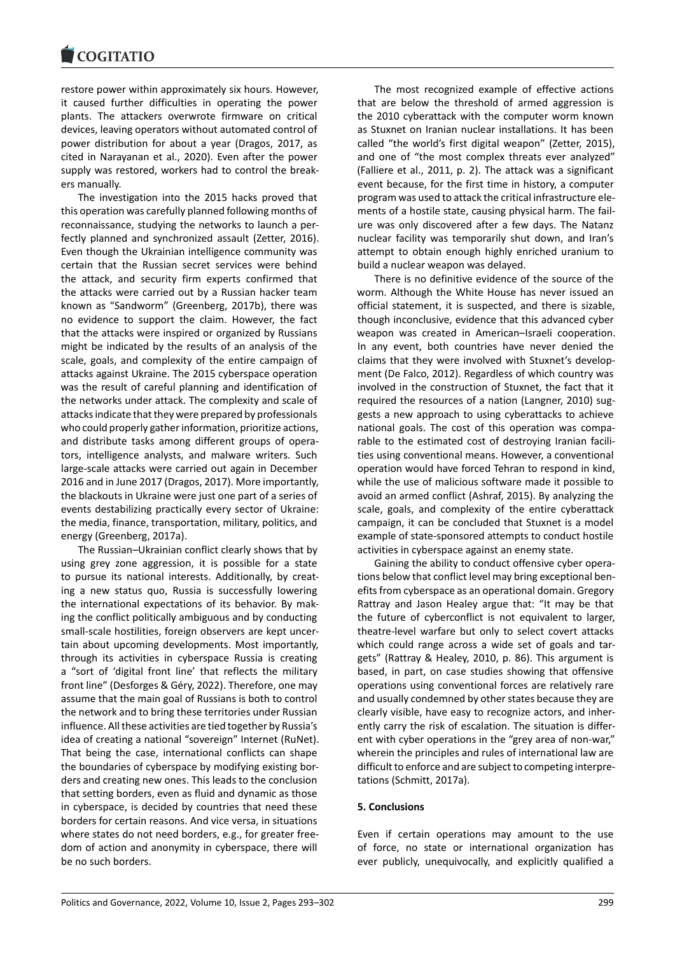#### COQUIATIO

restore power within approximately six hours. However, [it caused further d](https://www.cogitatiopress.com)ifficulties in operating the power plants. The attackers overwrote firmware on critical devices, leaving operators without automated control of power distribution for about a year (Dragos, 2017, as cited in Narayanan et al., 2020). Even after the power supply was restored, workers had to control the break‐ ers manually.

The investigation into the 2015 hacks proved that this operation was carefully planned following months of reconnaissance, studying the networks to launch a per‐ fectly planned and synchronized assault (Zetter, 2016). Even though the Ukrainian intelligence community was certain that the Russian secret services were behind the attack, and security firm experts confirmed that the attacks were carried out by a Russian hacker team known as "Sandworm" (Greenberg, 2017b), there was no evidence to support the claim. However, the fact that the attacks were inspired or organized by Russians might be indicated by the results of an analysis of the scale, goals, and complexity of the entire campaign of attacks against Ukraine. The 2015 cyberspace operation was the result of careful planning and identification of the networks under attack. The complexity and scale of attacks indicate that they were prepared by professionals who could properly gather information, prioritize actions, and distribute tasks among different groups of opera‐ tors, intelligence analysts, and malware writers. Such large‐scale attacks were carried out again in December 2016 and in June 2017 (Dragos, 2017). More importantly, the blackouts in Ukraine were just one part of a series of events destabilizing practically every sector of Ukraine: the media, finance, transportation, military, politics, and energy (Greenberg, 2017a).

The Russian–Ukrainian conflict clearly shows that by using grey zone aggression, it is possible for a state to pursue its national interests. Additionally, by creat‐ ing a new status quo, Russia is successfully lowering the international expectations of its behavior. By mak‐ ing the conflict politically ambiguous and by conducting small-scale hostilities, foreign observers are kept uncertain about upcoming developments. Most importantly, through its activities in cyberspace Russia is creating a "sort of 'digital front line' that reflects the military front line" (Desforges & Géry, 2022). Therefore, one may assume that the main goal of Russians is both to control the network and to bring these territories under Russian influence. All these activities are tied together by Russia's idea of creating a national "sovereign" Internet (RuNet). That being the case, international conflicts can shape the boundaries of cyberspace by modifying existing bor‐ ders and creating new ones. This leads to the conclusion that setting borders, even as fluid and dynamic as those in cyberspace, is decided by countries that need these borders for certain reasons. And vice versa, in situations where states do not need borders, e.g., for greater free‐ dom of action and anonymity in cyberspace, there will be no such borders.

The most recognized example of effective actions that are below the threshold of armed aggression is the 2010 cyberattack with the computer worm known as Stuxnet on Iranian nuclear installations. It has been called "the world's first digital weapon" (Zetter, 2015), and one of "the most complex threats ever analyzed" (Falliere et al., 2011, p. 2). The attack was a significant event because, for the first time in history, a computer program was used to attack the critical infrastructure ele‐ ments of a hostile state, causing physical harm. The fail‐ ure was only discovered after a few days. The Natanz nuclear facility was temporarily shut down, and Iran's attempt to obtain enough highly enriched uranium to build a nuclear weapon was delayed.

There is no definitive evidence of the source of the worm. Although the White House has never issued an official statement, it is suspected, and there is sizable, though inconclusive, evidence that this advanced cyber weapon was created in American–Israeli cooperation. In any event, both countries have never denied the claims that they were involved with Stuxnet's develop‐ ment (De Falco, 2012). Regardless of which country was involved in the construction of Stuxnet, the fact that it required the resources of a nation (Langner, 2010) sug‐ gests a new approach to using cyberattacks to achieve national goals. The cost of this operation was compa‐ rable to the estimated cost of destroying Iranian facili‐ ties using conventional means. However, a conventional operation would have forced Tehran to respond in kind, while the use of malicious software made it possible to avoid an armed conflict (Ashraf, 2015). By analyzing the scale, goals, and complexity of the entire cyberattack campaign, it can be concluded that Stuxnet is a model example of state‐sponsored attempts to conduct hostile activities in cyberspace against an enemy state.

Gaining the ability to conduct offensive cyber opera‐ tions below that conflict level may bring exceptional ben‐ efits from cyberspace as an operational domain. Gregory Rattray and Jason Healey argue that: "It may be that the future of cyberconflict is not equivalent to larger, theatre‐level warfare but only to select covert attacks which could range across a wide set of goals and targets" (Rattray & Healey, 2010, p. 86). This argument is based, in part, on case studies showing that offensive operations using conventional forces are relatively rare and usually condemned by other states because they are clearly visible, have easy to recognize actors, and inher‐ ently carry the risk of escalation. The situation is differ‐ ent with cyber operations in the "grey area of non-war," wherein the principles and rules of international law are difficult to enforce and are subject to competing interpre‐ tations (Schmitt, 2017a).

### **5. Conclusions**

Even if certain operations may amount to the use of force, no state or international organization has ever publicly, unequivocally, and explicitly qualified a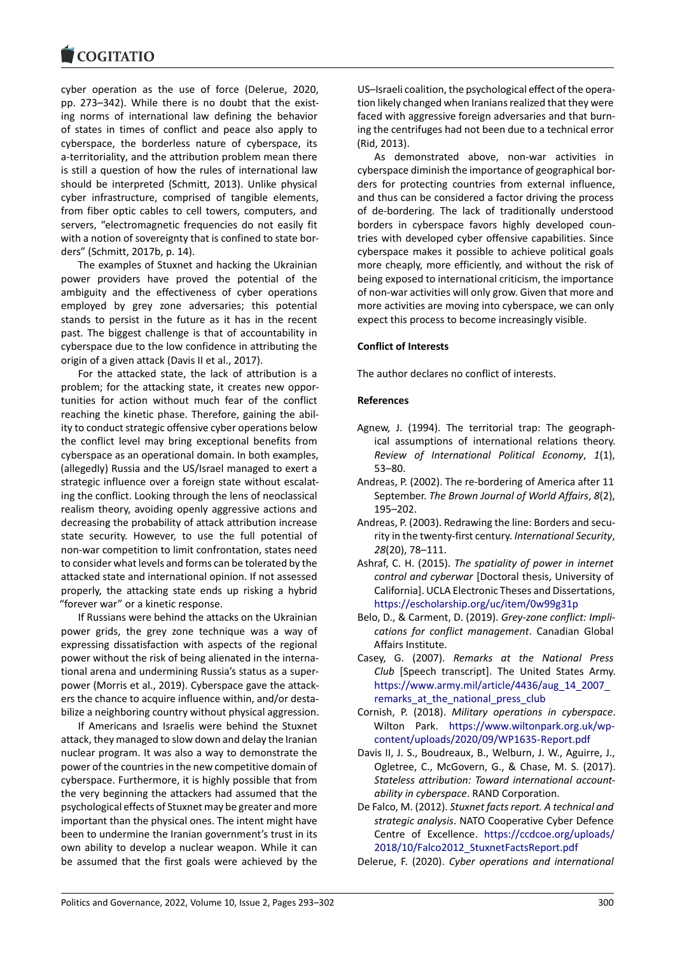cyber operation as the use of force (Delerue, 2020, [pp. 273–342\). While](https://www.cogitatiopress.com) there is no doubt that the existing norms of international law defining the behavior of states in times of conflict and peace also apply to cyberspace, the borderless nature of cyberspace, its a-territoriality, and the attribution problem mean there is still a question of how the rules of international law should be interpreted (Schmitt, 2013). Unlike physical cyber infrastructure, comprised of tangible elements, from fiber optic cables to cell towers, computers, and servers, "electromagnetic frequencies do not easily fit with a notion of sovereignty that is confined to state bor‐ ders" (Schmitt, 2017b, p. 14).

The examples of Stuxnet and hacking the Ukrainian power providers have proved the potential of the ambiguity and the effectiveness of cyber operations employed by grey zone adversaries; this potential stands to persist in the future as it has in the recent past. The biggest challenge is that of accountability in cyberspace due to the low confidence in attributing the origin of a given attack (Davis II et al., 2017).

For the attacked state, the lack of attribution is a problem; for the attacking state, it creates new oppor‐ tunities for action without much fear of the conflict reaching the kinetic phase. Therefore, gaining the abil‐ ity to conduct strategic offensive cyber operations below the conflict level may bring exceptional benefits from cyberspace as an operational domain. In both examples, (allegedly) Russia and the US/Israel managed to exert a strategic influence over a foreign state without escalat‐ ing the conflict. Looking through the lens of neoclassical realism theory, avoiding openly aggressive actions and decreasing the probability of attack attribution increase state security. However, to use the full potential of non‐war competition to limit confrontation, states need to consider what levels and forms can be tolerated by the attacked state and international opinion. If not assessed properly, the attacking state ends up risking a hybrid "forever war" or a kinetic response.

If Russians were behind the attacks on the Ukrainian power grids, the grey zone technique was a way of expressing dissatisfaction with aspects of the regional power without the risk of being alienated in the interna‐ tional arena and undermining Russia's status as a super‐ power (Morris et al., 2019). Cyberspace gave the attack‐ ers the chance to acquire influence within, and/or desta‐ bilize a neighboring country without physical aggression.

If Americans and Israelis were behind the Stuxnet attack, they managed to slow down and delay the Iranian nuclear program. It was also a way to demonstrate the power of the countries in the new competitive domain of cyberspace. Furthermore, it is highly possible that from the very beginning the attackers had assumed that the psychological effects of Stuxnet may be greater and more important than the physical ones. The intent might have been to undermine the Iranian government's trust in its own ability to develop a nuclear weapon. While it can be assumed that the first goals were achieved by the

US–Israeli coalition, the psychological effect of the opera‐ tion likely changed when Iranians realized that they were faced with aggressive foreign adversaries and that burn‐ ing the centrifuges had not been due to a technical error (Rid, 2013).

As demonstrated above, non‐war activities in cyberspace diminish the importance of geographical bor‐ ders for protecting countries from external influence, and thus can be considered a factor driving the process of de‐bordering. The lack of traditionally understood borders in cyberspace favors highly developed coun‐ tries with developed cyber offensive capabilities. Since cyberspace makes it possible to achieve political goals more cheaply, more efficiently, and without the risk of being exposed to international criticism, the importance of non‐war activities will only grow. Given that more and more activities are moving into cyberspace, we can only expect this process to become increasingly visible.

### **Conflict of Interests**

The author declares no conflict of interests.

### **References**

- Agnew, J. (1994). The territorial trap: The geograph‐ ical assumptions of international relations theory. *Review of International Political Economy*, *1*(1), 53–80.
- Andreas, P. (2002). The re‐bordering of America after 11 September. *The Brown Journal of World Affairs*, *8*(2), 195–202.
- Andreas, P. (2003). Redrawing the line: Borders and secu‐ rity in the twenty‐first century. *International Security*, *28*(20), 78–111.
- Ashraf, C. H. (2015). *The spatiality of power in internet control and cyberwar* [Doctoral thesis, University of California]. UCLA Electronic Theses and Dissertations, https://escholarship.org/uc/item/0w99g31p
- Belo, D., & Carment, D. (2019). *Grey‐zone conflict: Impli‐ cations for conflict management*. Canadian Global Affairs Institute.
- Casey, G. (2007). *[Remarks at the Nationa](https://escholarship.org/uc/item/0w99g31p)l Press Club* [Speech transcript]. The United States Army. https://www.army.mil/article/4436/aug\_14\_2007\_ remarks\_at\_the\_national\_press\_club
- Cornish, P. (2018). *Military operations in cyberspace*. Wilton Park. https://www.wiltonpark.org.uk/wp‐ [content/uploads/2020/09/WP1635‐Report.pdf](https://www.army.mil/article/4436/aug_14_2007_remarks_at_the_national_press_club)
- Da[vis II, J. S., Boudreaux, B., Welburn, J.](https://www.army.mil/article/4436/aug_14_2007_remarks_at_the_national_press_club) W., Aguirre, J., Ogletree, C., McGovern, G., & Chase, M. S. (2017). *Stateless attrib[ution: Toward international account‐](https://www.wiltonpark.org.uk/wp-content/uploads/2020/09/WP1635-Report.pdf) ability in cyberspace*[. RAND Corporation.](https://www.wiltonpark.org.uk/wp-content/uploads/2020/09/WP1635-Report.pdf)
- De Falco, M. (2012). *Stuxnet facts report. A technical and strategic analysis*. NATO Cooperative Cyber Defence Centre of Excellence. https://ccdcoe.org/uploads/ 2018/10/Falco2012\_StuxnetFactsReport.pdf

Delerue, F. (2020). *Cyber operations and international*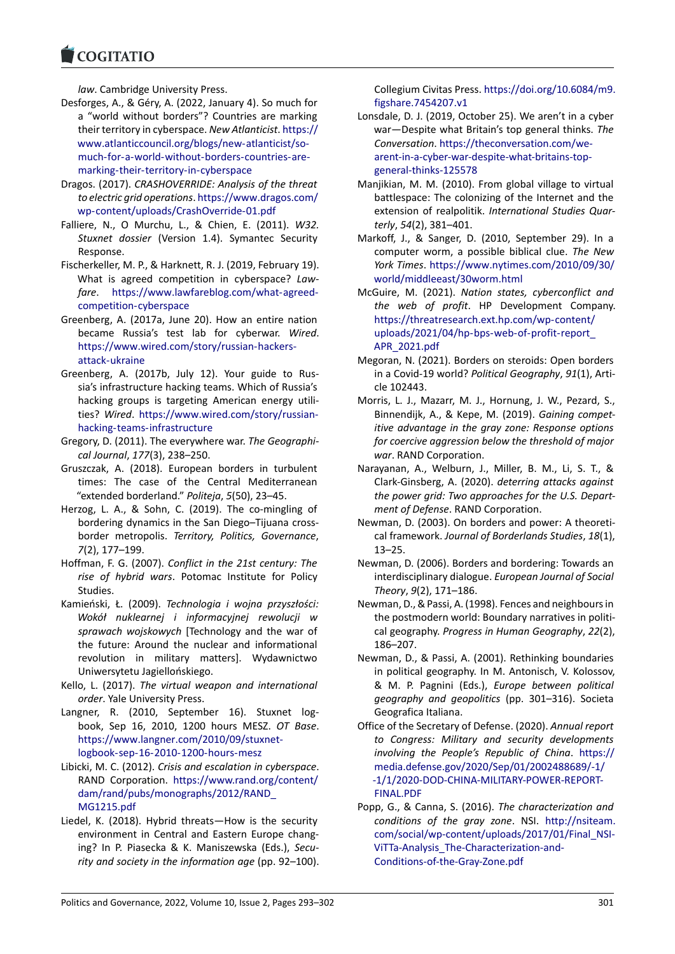#### COQUIATIO

*law*. Cambridge University Press.

- [Desforges, A., & Gér](https://www.cogitatiopress.com)y, A. (2022, January 4). So much for a "world without borders"? Countries are marking their territory in cyberspace. *New Atlanticist*. https:// www.atlanticcouncil.org/blogs/new‐atlanticist/so‐ much‐for‐a‐world‐without‐borders‐countries‐are‐ marking‐their‐territory‐in‐cyberspace
- Dragos. (2017). *CRASHOVERRIDE: Analysis of th[e threat](https://www.atlanticcouncil.org/blogs/new-atlanticist/so-much-for-a-world-without-borders-countries-are-marking-their-territory-in-cyberspace) [to electric grid operations](https://www.atlanticcouncil.org/blogs/new-atlanticist/so-much-for-a-world-without-borders-countries-are-marking-their-territory-in-cyberspace)*. https://www.dragos.com/ [wp‐content/uploads/CrashOverride‐01.pdf](https://www.atlanticcouncil.org/blogs/new-atlanticist/so-much-for-a-world-without-borders-countries-are-marking-their-territory-in-cyberspace)
- Fall[iere, N., O Murchu, L., & Chien, E.](https://www.atlanticcouncil.org/blogs/new-atlanticist/so-much-for-a-world-without-borders-countries-are-marking-their-territory-in-cyberspace) (2011). *W32. Stuxnet dossier* (Version 1.4). Symantec Security Response.
- Fis[cherkeller, M. P., & Harknett, R. J. \(2019, Febr](https://www.dragos.com/wp-content/uploads/CrashOverride-01.pdf)uary 19). What is agreed competition in cyberspace? *Law‐ fare*. https://www.lawfareblog.com/what‐agreed‐ competition‐cyberspace
- Greenberg, A. (2017a, June 20). How an entire nation became Russia's test lab for cyberwar. *Wired*. https:/[/www.wired.com/story/russian‐hackers‐](https://www.lawfareblog.com/what-agreed-competition-cyberspace) [attack‐ukraine](https://www.lawfareblog.com/what-agreed-competition-cyberspace)
- Greenberg, A. (2017b, July 12). Your guide to Rus‐ sia's infrastructure hacking teams. Which of Russia's [hacking groups is targeting American energy](https://www.wired.com/story/russian-hackers-attack-ukraine) utili‐ ties? *[Wired](https://www.wired.com/story/russian-hackers-attack-ukraine)*. https://www.wired.com/story/russian‐ hacking‐teams‐infrastructure
- Gregory, D. (2011). The everywhere war. *The Geographi‐ cal Journal*, *177*(3), 238–250.
- Gruszczak, A. (2[018\). European borders in turbulent](https://www.wired.com/story/russian-hacking-teams-infrastructure) [times: The case of the C](https://www.wired.com/story/russian-hacking-teams-infrastructure)entral Mediterranean "extended borderland." *Politeja*, *5*(50), 23–45.
- Herzog, L. A., & Sohn, C. (2019). The co-mingling of bordering dynamics in the San Diego–Tijuana cross‐ border metropolis. *Territory, Politics, Governance*, *7*(2), 177–199.
- Hoffman, F. G. (2007). *Conflict in the 21st century: The rise of hybrid wars*. Potomac Institute for Policy Studies.
- Kamieński, Ł. (2009). *Technologia i wojna przyszłości: Wokół nuklearnej i informacyjnej rewolucji w sprawach wojskowych* [Technology and the war of the future: Around the nuclear and informational revolution in military matters]. Wydawnictwo Uniwersytetu Jagiellońskiego.
- Kello, L. (2017). *The virtual weapon and international order*. Yale University Press.
- Langner, R. (2010, September 16). Stuxnet logbook, Sep 16, 2010, 1200 hours MESZ. *OT Base*. https://www.langner.com/2010/09/stuxnet‐ logbook‐sep‐16‐2010‐1200‐hours‐mesz
- Libicki, M. C. (2012). *Crisis and escalation in cyberspace*. RAND Corporation. https://www.rand.org/content/ [dam/rand/pubs/monographs/2012/RAND\\_](https://www.langner.com/2010/09/stuxnet-logbook-sep-16-2010-1200-hours-mesz) [MG1215.pdf](https://www.langner.com/2010/09/stuxnet-logbook-sep-16-2010-1200-hours-mesz)
- Liedel, K. (2018). Hybrid threats—How is the security environment in Cen[tral and Eastern Europe chang‐](https://www.rand.org/content/dam/rand/pubs/monographs/2012/RAND_MG1215.pdf) [ing? In P. Piasecka & K. Maniszewska \(Eds](https://www.rand.org/content/dam/rand/pubs/monographs/2012/RAND_MG1215.pdf).), *Secu‐ [rity and socie](https://www.rand.org/content/dam/rand/pubs/monographs/2012/RAND_MG1215.pdf)ty in the information age* (pp. 92–100).

Collegium Civitas Press. https://doi.org/10.6084/m9. figshare.7454207.v1

- Lonsdale, D. J. (2019, October 25). We aren't in a cyber war—Despite what Britain's top general thinks. *The Conversation*. https://t[heconversation.com/we‐](https://doi.org/10.6084/m9.figshare.7454207.v1) arent-in-a-cyber-war-despite-what-britains-topgeneral‐thinks‐125578
- Manjikian, M. M. (2010). From global village to virtual battlespace:T[he colonizing of the Internet and](https://theconversation.com/we-arent-in-a-cyber-war-despite-what-britains-top-general-thinks-125578) the [extension of realpolitik.](https://theconversation.com/we-arent-in-a-cyber-war-despite-what-britains-top-general-thinks-125578) *International Studies Quar‐ terly*, *54*[\(2\), 381–401.](https://theconversation.com/we-arent-in-a-cyber-war-despite-what-britains-top-general-thinks-125578)
- Markoff, J., & Sanger, D. (2010, September 29). In a computer worm, a possible biblical clue. *The New York Times*. https://www.nytimes.com/2010/09/30/ world/middleeast/30worm.html
- McGuire, M. (2021). *Nation states, cyberconflict and the web of profit*. HP Development Company. https://thre[atresearch.ext.hp.com/wp‐content/](https://www.nytimes.com/2010/09/30/world/middleeast/30worm.html) [uploads/2021/04/hp‐bps‐web‐o](https://www.nytimes.com/2010/09/30/world/middleeast/30worm.html)f‐profit‐report\_ APR\_2021.pdf
- Megoran, N. (2021). Borders on steroids: Open borders [in a Covid‐19 world?](https://threatresearch.ext.hp.com/wp-content/uploads/2021/04/hp-bps-web-of-profit-report_APR_2021.pdf) *Political Geography*, *91*(1), Arti‐ [cle 102443.](https://threatresearch.ext.hp.com/wp-content/uploads/2021/04/hp-bps-web-of-profit-report_APR_2021.pdf)
- Mo[rris, L. J., Maz](https://threatresearch.ext.hp.com/wp-content/uploads/2021/04/hp-bps-web-of-profit-report_APR_2021.pdf)arr, M. J., Hornung, J. W., Pezard, S., Binnendijk, A., & Kepe, M. (2019). *Gaining compet‐ itive advantage in the gray zone: Response options for coercive aggression below the threshold of major war*. RAND Corporation.
- Narayanan, A., Welburn, J., Miller, B. M., Li, S. T., & Clark‐Ginsberg, A. (2020). *deterring attacks against the power grid: Two approaches for the U.S. Depart‐ ment of Defense*. RAND Corporation.
- Newman, D. (2003). On borders and power: A theoreti‐ cal framework. *Journal of Borderlands Studies*, *18*(1), 13–25.
- Newman, D. (2006). Borders and bordering: Towards an interdisciplinary dialogue. *European Journal of Social Theory*, *9*(2), 171–186.
- Newman, D., & Passi, A. (1998). Fences and neighbours in the postmodern world: Boundary narratives in politi‐ cal geography. *Progress in Human Geography*, *22*(2), 186–207.
- Newman, D., & Passi, A. (2001). Rethinking boundaries in political geography. In M. Antonisch, V. Kolossov, & M. P. Pagnini (Eds.), *Europe between political geography and geopolitics* (pp. 301–316). Societa Geografica Italiana.
- Office of the Secretary of Defense. (2020). *Annual report to Congress: Military and security developments involving the People's Republic of China*. https:// media.defense.gov/2020/Sep/01/2002488689/‐1/ ‐1/1/2020‐DOD‐CHINA‐MILITARY‐POWER‐REPORT‐ FINAL.PDF
- Popp, G., & Canna, S. (2016). *The characterizat[ion and](https://media.defense.gov/2020/Sep/01/2002488689/-1/-1/1/2020-DOD-CHINA-MILITARY-POWER-REPORT-FINAL.PDF) [conditions of the gray zone](https://media.defense.gov/2020/Sep/01/2002488689/-1/-1/1/2020-DOD-CHINA-MILITARY-POWER-REPORT-FINAL.PDF)*. NSI. http://nsiteam. com/social/wp-content/uploads/2017/01/Final\_NSI-[ViTTa‐Anal](https://media.defense.gov/2020/Sep/01/2002488689/-1/-1/1/2020-DOD-CHINA-MILITARY-POWER-REPORT-FINAL.PDF)ysis\_The‐Characterization‐and‐ Conditions‐of‐the‐Gray‐Zone.pdf